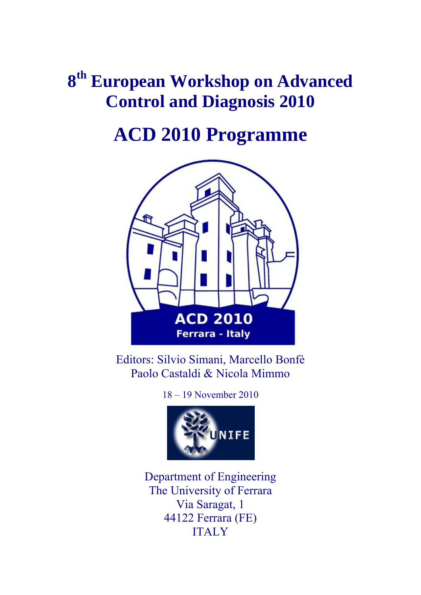# **8th European Workshop on Advanced Control and Diagnosis 2010**

# **ACD 2010 Programme**



Editors: Silvio Simani, Marcello Bonfè Paolo Castaldi & Nicola Mimmo

18 – 19 November 2010



Department of Engineering The University of Ferrara Via Saragat, 1 44122 Ferrara (FE) ITALY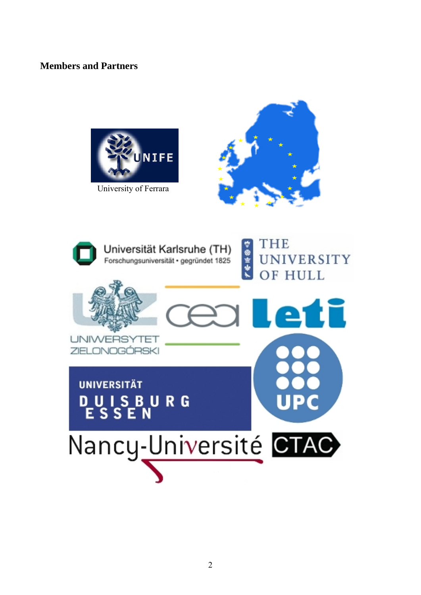### **Members and Partners**



University of Ferrara



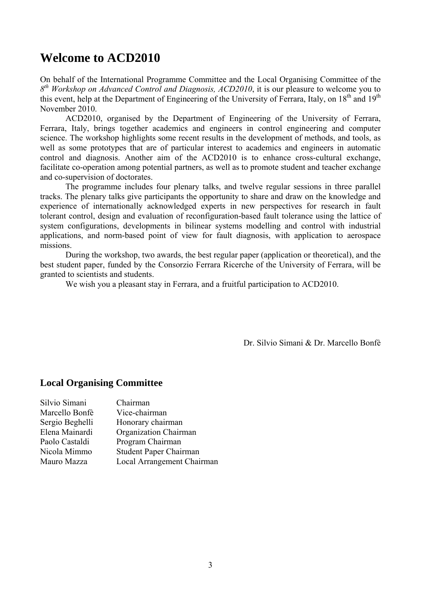### **Welcome to ACD2010**

On behalf of the International Programme Committee and the Local Organising Committee of the *8th Workshop on Advanced Control and Diagnosis, ACD2010*, it is our pleasure to welcome you to this event, help at the Department of Engineering of the University of Ferrara, Italy, on 18<sup>th</sup> and 19<sup>th</sup> November 2010.

ACD2010, organised by the Department of Engineering of the University of Ferrara, Ferrara, Italy, brings together academics and engineers in control engineering and computer science. The workshop highlights some recent results in the development of methods, and tools, as well as some prototypes that are of particular interest to academics and engineers in automatic control and diagnosis. Another aim of the ACD2010 is to enhance cross-cultural exchange, facilitate co-operation among potential partners, as well as to promote student and teacher exchange and co-supervision of doctorates.

The programme includes four plenary talks, and twelve regular sessions in three parallel tracks. The plenary talks give participants the opportunity to share and draw on the knowledge and experience of internationally acknowledged experts in new perspectives for research in fault tolerant control, design and evaluation of reconfiguration-based fault tolerance using the lattice of system configurations, developments in bilinear systems modelling and control with industrial applications, and norm-based point of view for fault diagnosis, with application to aerospace missions.

During the workshop, two awards, the best regular paper (application or theoretical), and the best student paper, funded by the Consorzio Ferrara Ricerche of the University of Ferrara, will be granted to scientists and students.

We wish you a pleasant stay in Ferrara, and a fruitful participation to ACD2010.

Dr. Silvio Simani & Dr. Marcello Bonfè

### **Local Organising Committee**

| Chairman                   |
|----------------------------|
| Vice-chairman              |
| Honorary chairman          |
| Organization Chairman      |
| Program Chairman           |
| Student Paper Chairman     |
| Local Arrangement Chairman |
|                            |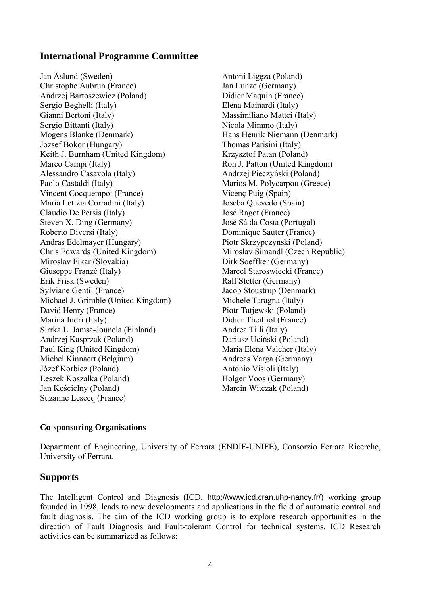### **International Programme Committee**

Jan Åslund (Sweden) Christophe Aubrun (France) Andrzej Bartoszewicz (Poland) Sergio Beghelli (Italy) Gianni Bertoni (Italy) Sergio Bittanti (Italy) Mogens Blanke (Denmark) Jozsef Bokor (Hungary) Keith J. Burnham (United Kingdom) Marco Campi (Italy) Alessandro Casavola (Italy) Paolo Castaldi (Italy) Vincent Cocquempot (France) Maria Letizia Corradini (Italy) Claudio De Persis (Italy) Steven X. Ding (Germany) Roberto Diversi (Italy) Andras Edelmayer (Hungary) Chris Edwards (United Kingdom) Miroslav Fikar (Slovakia) Giuseppe Franzè (Italy) Erik Frisk (Sweden) Sylviane Gentil (France) Michael J. Grimble (United Kingdom) David Henry (France) Marina Indri (Italy) Sirrka L. Jamsa-Jounela (Finland) Andrzej Kasprzak (Poland) Paul King (United Kingdom) Michel Kinnaert (Belgium) Józef Korbicz (Poland) Leszek Koszalka (Poland) Jan Kościelny (Poland) Suzanne Lesecq (France)

 Antoni Ligęza (Poland) Jan Lunze (Germany) Didier Maquin (France) Elena Mainardi (Italy) Massimiliano Mattei (Italy) Nicola Mimmo (Italy) Hans Henrik Niemann (Denmark) Thomas Parisini (Italy) Krzysztof Patan (Poland) Ron J. Patton (United Kingdom) Andrzej Pieczyński (Poland) Marios M. Polycarpou (Greece) Vicenç Puig (Spain) Joseba Quevedo (Spain) José Ragot (France) José Sá da Costa (Portugal) Dominique Sauter (France) Piotr Skrzypczynski (Poland) Miroslav Simandl (Czech Republic) Dirk Soeffker (Germany) Marcel Staroswiecki (France) Ralf Stetter (Germany) Jacob Stoustrup (Denmark) Michele Taragna (Italy) Piotr Tatjewski (Poland) Didier Theilliol (France) Andrea Tilli (Italy) Dariusz Uciński (Poland) Maria Elena Valcher (Italy) Andreas Varga (Germany) Antonio Visioli (Italy) Holger Voos (Germany) Marcin Witczak (Poland)

### **Co-sponsoring Organisations**

Department of Engineering, University of Ferrara (ENDIF-UNIFE), Consorzio Ferrara Ricerche, University of Ferrara.

### **Supports**

The Intelligent Control and Diagnosis (ICD, http://www.icd.cran.uhp-nancy.fr/) working group founded in 1998, leads to new developments and applications in the field of automatic control and fault diagnosis. The aim of the ICD working group is to explore research opportunities in the direction of Fault Diagnosis and Fault-tolerant Control for technical systems. ICD Research activities can be summarized as follows: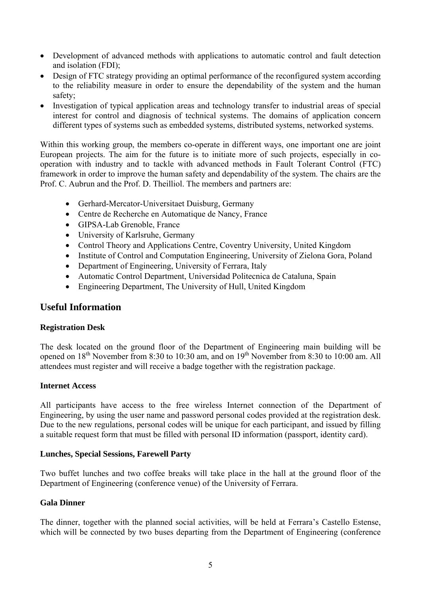- Development of advanced methods with applications to automatic control and fault detection and isolation (FDI);
- Design of FTC strategy providing an optimal performance of the reconfigured system according to the reliability measure in order to ensure the dependability of the system and the human safety;
- Investigation of typical application areas and technology transfer to industrial areas of special interest for control and diagnosis of technical systems. The domains of application concern different types of systems such as embedded systems, distributed systems, networked systems.

Within this working group, the members co-operate in different ways, one important one are joint European projects. The aim for the future is to initiate more of such projects, especially in cooperation with industry and to tackle with advanced methods in Fault Tolerant Control (FTC) framework in order to improve the human safety and dependability of the system. The chairs are the Prof. C. Aubrun and the Prof. D. Theilliol. The members and partners are:

- Gerhard-Mercator-Universitaet Duisburg, Germany
- Centre de Recherche en Automatique de Nancy, France
- GIPSA-Lab Grenoble, France
- University of Karlsruhe, Germany
- Control Theory and Applications Centre, Coventry University, United Kingdom
- Institute of Control and Computation Engineering, University of Zielona Gora, Poland
- Department of Engineering, University of Ferrara, Italy
- Automatic Control Department, Universidad Politecnica de Cataluna, Spain
- Engineering Department, The University of Hull, United Kingdom

### **Useful Information**

### **Registration Desk**

The desk located on the ground floor of the Department of Engineering main building will be opened on 18<sup>th</sup> November from 8:30 to 10:30 am, and on 19<sup>th</sup> November from 8:30 to 10:00 am. All attendees must register and will receive a badge together with the registration package.

### **Internet Access**

All participants have access to the free wireless Internet connection of the Department of Engineering, by using the user name and password personal codes provided at the registration desk. Due to the new regulations, personal codes will be unique for each participant, and issued by filling a suitable request form that must be filled with personal ID information (passport, identity card).

### **Lunches, Special Sessions, Farewell Party**

Two buffet lunches and two coffee breaks will take place in the hall at the ground floor of the Department of Engineering (conference venue) of the University of Ferrara.

### **Gala Dinner**

The dinner, together with the planned social activities, will be held at Ferrara's Castello Estense, which will be connected by two buses departing from the Department of Engineering (conference)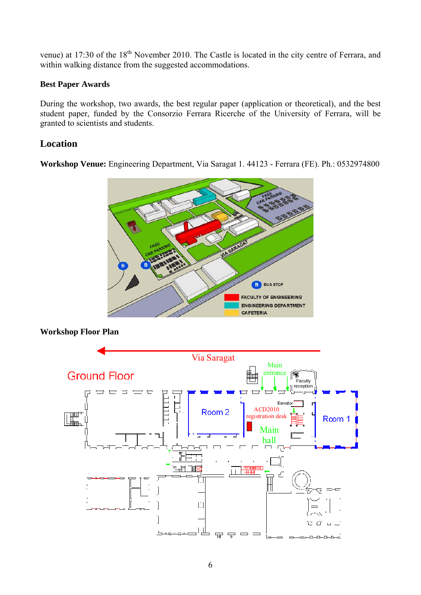venue) at 17:30 of the 18<sup>th</sup> November 2010. The Castle is located in the city centre of Ferrara, and within walking distance from the suggested accommodations.

### **Best Paper Awards**

During the workshop, two awards, the best regular paper (application or theoretical), and the best student paper, funded by the Consorzio Ferrara Ricerche of the University of Ferrara, will be granted to scientists and students.

### **Location**

**Workshop Venue:** Engineering Department, Via Saragat 1. 44123 - Ferrara (FE). Ph.: 0532974800



### **Workshop Floor Plan**

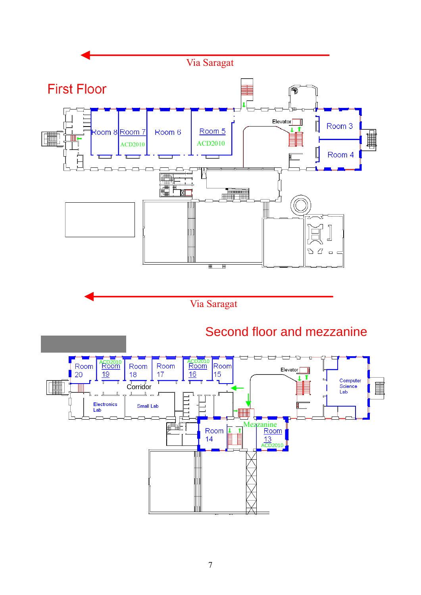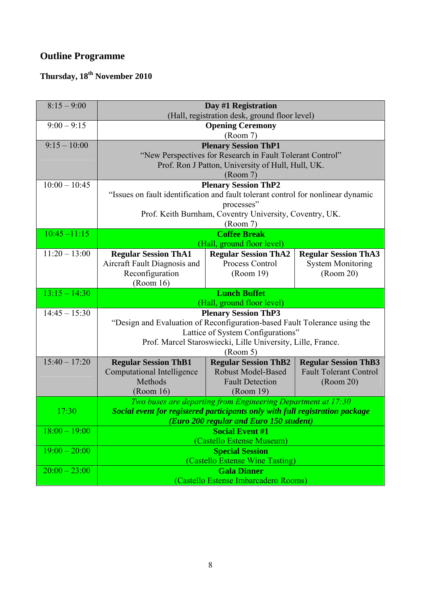# **Outline Programme**

# **Thursday, 18th November 2010**

| $8:15 - 9:00$   |                                                                                             | Day #1 Registration<br>(Hall, registration desk, ground floor level)                                                                                      |                                                                           |
|-----------------|---------------------------------------------------------------------------------------------|-----------------------------------------------------------------------------------------------------------------------------------------------------------|---------------------------------------------------------------------------|
| $9:00 - 9:15$   |                                                                                             | <b>Opening Ceremony</b><br>(Room 7)                                                                                                                       |                                                                           |
| $9:15 - 10:00$  |                                                                                             | <b>Plenary Session ThP1</b><br>"New Perspectives for Research in Fault Tolerant Control"<br>Prof. Ron J Patton, University of Hull, Hull, UK.<br>(Room 7) |                                                                           |
| $10:00 - 10:45$ | "Issues on fault identification and fault tolerant control for nonlinear dynamic            | <b>Plenary Session ThP2</b><br>processes"<br>Prof. Keith Burnham, Coventry University, Coventry, UK.<br>(Room 7)                                          |                                                                           |
| $10:45 - 11:15$ | <b>Coffee Break</b><br>(Hall, ground floor level)                                           |                                                                                                                                                           |                                                                           |
| $11:20 - 13:00$ | <b>Regular Session ThA1</b><br>Aircraft Fault Diagnosis and<br>Reconfiguration<br>(Room 16) | <b>Regular Session ThA2</b><br><b>Process Control</b><br>(Room 19)                                                                                        | <b>Regular Session ThA3</b><br><b>System Monitoring</b><br>(Room 20)      |
| $13:15 - 14:30$ |                                                                                             | <b>Lunch Buffet</b><br>(Hall, ground floor level)                                                                                                         |                                                                           |
| $14:45 - 15:30$ | "Design and Evaluation of Reconfiguration-based Fault Tolerance using the                   | <b>Plenary Session ThP3</b><br>Lattice of System Configurations"<br>Prof. Marcel Staroswiecki, Lille University, Lille, France.<br>(Room 5)               |                                                                           |
| $15:40 - 17:20$ | <b>Regular Session ThB1</b><br><b>Computational Intelligence</b><br>Methods<br>(Room 16)    | <b>Regular Session ThB2</b><br><b>Robust Model-Based</b><br><b>Fault Detection</b><br>(Room 19)                                                           | <b>Regular Session ThB3</b><br><b>Fault Tolerant Control</b><br>(Room 20) |
| 17:30           | Social event for registered participants only with full registration package                | Two buses are departing from Engineering Department at 17:30<br>(Euro 200 regular and Euro 150 student)                                                   |                                                                           |
| $18:00 - 19:00$ |                                                                                             | <b>Social Event #1</b><br>(Castello Estense Museum)                                                                                                       |                                                                           |
| $19:00 - 20:00$ |                                                                                             | <b>Special Session</b><br>(Castello Estense Wine Tasting)                                                                                                 |                                                                           |
| $20:00 - 23:00$ |                                                                                             | <b>Gala Dinner</b><br>(Castello Estense Imbarcadero Rooms)                                                                                                |                                                                           |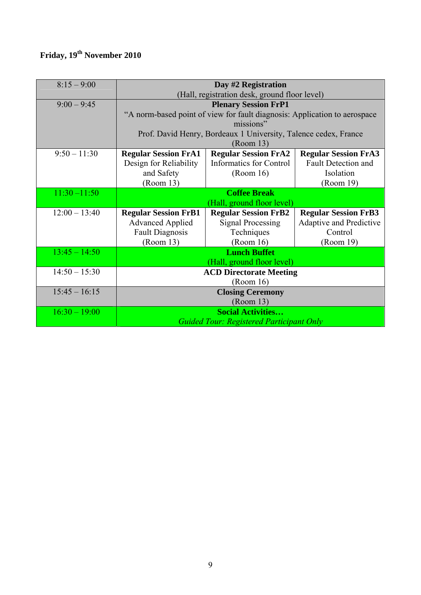# **Friday, 19th November 2010**

| $8:15 - 9:00$   |                                                                           | Day #2 Registration                                             |                             |
|-----------------|---------------------------------------------------------------------------|-----------------------------------------------------------------|-----------------------------|
|                 | (Hall, registration desk, ground floor level)                             |                                                                 |                             |
| $9:00 - 9:45$   | <b>Plenary Session FrP1</b>                                               |                                                                 |                             |
|                 | "A norm-based point of view for fault diagnosis: Application to aerospace |                                                                 |                             |
|                 |                                                                           | missions"                                                       |                             |
|                 |                                                                           | Prof. David Henry, Bordeaux 1 University, Talence cedex, France |                             |
|                 |                                                                           | (Room 13)                                                       |                             |
| $9:50 - 11:30$  | <b>Regular Session FrA1</b>                                               | <b>Regular Session FrA2</b>                                     | <b>Regular Session FrA3</b> |
|                 | Design for Reliability                                                    | <b>Informatics for Control</b>                                  | <b>Fault Detection and</b>  |
|                 | and Safety                                                                | (Room 16)                                                       | Isolation                   |
|                 | (Room 13)                                                                 |                                                                 | (Room 19)                   |
| $11:30 - 11:50$ |                                                                           | <b>Coffee Break</b>                                             |                             |
|                 |                                                                           | (Hall, ground floor level)                                      |                             |
| $12:00 - 13:40$ | <b>Regular Session FrB1</b>                                               | <b>Regular Session FrB2</b>                                     | <b>Regular Session FrB3</b> |
|                 | <b>Advanced Applied</b>                                                   | <b>Signal Processing</b>                                        | Adaptive and Predictive     |
|                 | <b>Fault Diagnosis</b>                                                    | Techniques                                                      | Control                     |
|                 | (Room 13)                                                                 | (Room 16)                                                       | (Room 19)                   |
| $13:45 - 14:50$ |                                                                           | <b>Lunch Buffet</b>                                             |                             |
|                 |                                                                           | (Hall, ground floor level)                                      |                             |
| $14:50 - 15:30$ |                                                                           | <b>ACD Directorate Meeting</b>                                  |                             |
|                 |                                                                           | (Room 16)                                                       |                             |
| $15:45 - 16:15$ |                                                                           | <b>Closing Ceremony</b>                                         |                             |
|                 |                                                                           | (Room 13)                                                       |                             |
| $16:30 - 19:00$ |                                                                           | <b>Social Activities</b>                                        |                             |
|                 |                                                                           | <b>Guided Tour: Registered Participant Only</b>                 |                             |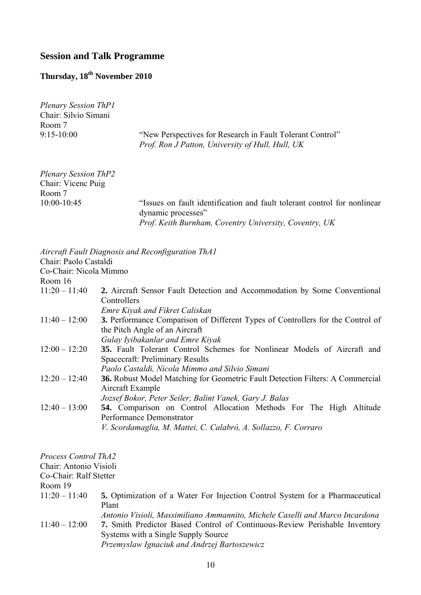### **Session and Talk Programme**

## **Thursday, 18th November 2010**

*Plenary Session ThP1*  Chair: Silvio Simani Room 7

9:15-10:00 "New Perspectives for Research in Fault Tolerant Control" *Prof. Ron J Patton, University of Hull, Hull, UK* 

| <b>Plenary Session ThP2</b> |                                                                                                |
|-----------------------------|------------------------------------------------------------------------------------------------|
| Chair: Vicenc Puig          |                                                                                                |
| Room 7                      |                                                                                                |
| $10:00 - 10:45$             | "Issues on fault identification and fault tolerant control for nonlinear<br>dynamic processes" |
|                             | Prof. Keith Burnham, Coventry University, Coventry, UK                                         |

|                        | Aircraft Fault Diagnosis and Reconfiguration ThA1                                        |
|------------------------|------------------------------------------------------------------------------------------|
| Chair: Paolo Castaldi  |                                                                                          |
| Co-Chair: Nicola Mimmo |                                                                                          |
| Room 16                |                                                                                          |
| $11:20 - 11:40$        | 2. Aircraft Sensor Fault Detection and Accommodation by Some Conventional<br>Controllers |
|                        | <b>Emre Kiyak and Fikret Caliskan</b>                                                    |
| $11:40 - 12:00$        | <b>3.</b> Performance Comparison of Different Types of Controllers for the Control of    |
|                        | the Pitch Angle of an Aircraft                                                           |
|                        | Gulay Iyibakanlar and Emre Kiyak                                                         |
| $12:00 - 12:20$        | 35. Fault Tolerant Control Schemes for Nonlinear Models of Aircraft and                  |
|                        | Spacecraft: Preliminary Results                                                          |
|                        | Paolo Castaldi, Nicola Mimmo and Silvio Simani                                           |
| $12:20 - 12:40$        | <b>36.</b> Robust Model Matching for Geometric Fault Detection Filters: A Commercial     |
|                        | Aircraft Example                                                                         |
|                        | Jozsef Bokor, Peter Seiler, Balint Vanek, Gary J. Balas                                  |
| $12:40 - 13:00$        | <b>54.</b> Comparison on Control Allocation Methods For The High Altitude                |
|                        | Performance Demonstrator                                                                 |
|                        | V. Scordamaglia, M. Mattei, C. Calabrò, A. Sollazzo, F. Corraro                          |

*Process Control ThA2* 

Chair: Antonio Visioli

Co-Chair: Ralf Stetter

Room 19

11:20 – 11:40 **5.** Optimization of a Water For Injection Control System for a Pharmaceutical Plant

*Antonio Visioli, Massimiliano Ammannito, Michele Caselli and Marco Incardona* 

11:40 – 12:00 **7.** Smith Predictor Based Control of Continuous-Review Perishable Inventory Systems with a Single Supply Source

*Przemyslaw Ignaciuk and Andrzej Bartoszewicz*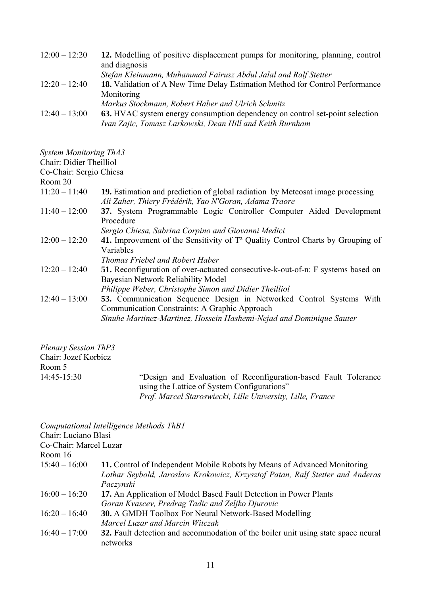| $12:00 - 12:20$ | 12. Modelling of positive displacement pumps for monitoring, planning, control      |
|-----------------|-------------------------------------------------------------------------------------|
|                 | and diagnosis                                                                       |
|                 | Stefan Kleinmann, Muhammad Fairusz Abdul Jalal and Ralf Stetter                     |
| $12:20 - 12:40$ | <b>18.</b> Validation of A New Time Delay Estimation Method for Control Performance |
|                 | Monitoring                                                                          |
|                 | Markus Stockmann, Robert Haber and Ulrich Schmitz                                   |
| $12:40 - 13:00$ | <b>63.</b> HVAC system energy consumption dependency on control set-point selection |
|                 | Ivan Zajic, Tomasz Larkowski, Dean Hill and Keith Burnham                           |

*System Monitoring ThA3* 

| Chair: Didier Theilliol |                                                                                                                                                                                                     |
|-------------------------|-----------------------------------------------------------------------------------------------------------------------------------------------------------------------------------------------------|
| Co-Chair: Sergio Chiesa |                                                                                                                                                                                                     |
| Room 20                 |                                                                                                                                                                                                     |
| $11:20 - 11:40$         | <b>19.</b> Estimation and prediction of global radiation by Meteosat image processing<br>Ali Zaher, Thiery Frédérik, Yao N'Goran, Adama Traore                                                      |
| $11:40 - 12:00$         | 37. System Programmable Logic Controller Computer Aided Development<br>Procedure                                                                                                                    |
|                         | Sergio Chiesa, Sabrina Corpino and Giovanni Medici                                                                                                                                                  |
| $12:00 - 12:20$         | 41. Improvement of the Sensitivity of T <sup>2</sup> Quality Control Charts by Grouping of<br>Variables<br>Thomas Friebel and Robert Haber                                                          |
| $12:20 - 12:40$         | 51. Reconfiguration of over-actuated consecutive-k-out-of-n: F systems based on<br>Bayesian Network Reliability Model<br>Philippe Weber, Christophe Simon and Didier Theilliol                      |
| $12:40 - 13:00$         | <b>53.</b> Communication Sequence Design in Networked Control Systems With<br>Communication Constraints: A Graphic Approach<br>Sinuhe Martinez-Martinez, Hossein Hashemi-Nejad and Dominique Sauter |

*Plenary Session ThP3*  Chair: Jozef Korbicz Room 5<br>14:45-15:30

14:45-15:30 "Design and Evaluation of Reconfiguration-based Fault Tolerance using the Lattice of System Configurations" *Prof. Marcel Staroswiecki, Lille University, Lille, France* 

|                        | Computational Intelligence Methods ThB1                                                                                                                                |
|------------------------|------------------------------------------------------------------------------------------------------------------------------------------------------------------------|
| Chair: Luciano Blasi   |                                                                                                                                                                        |
| Co-Chair: Marcel Luzar |                                                                                                                                                                        |
| Room 16                |                                                                                                                                                                        |
| $15:40 - 16:00$        | 11. Control of Independent Mobile Robots by Means of Advanced Monitoring<br>Lothar Seybold, Jaroslaw Krokowicz, Krzysztof Patan, Ralf Stetter and Anderas<br>Paczynski |
| $16:00 - 16:20$        | 17. An Application of Model Based Fault Detection in Power Plants<br>Goran Kvascev, Predrag Tadic and Zeljko Djurovic                                                  |
| $16:20 - 16:40$        | <b>30.</b> A GMDH Toolbox For Neural Network-Based Modelling<br>Marcel Luzar and Marcin Witczak                                                                        |
| $16:40 - 17:00$        | <b>32.</b> Fault detection and accommodation of the boiler unit using state space neural<br>networks                                                                   |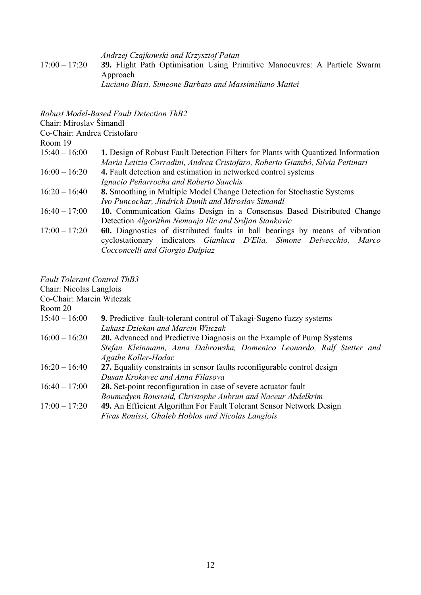*Andrzej Czajkowski and Krzysztof Patan* 

17:00 – 17:20 **39.** Flight Path Optimisation Using Primitive Manoeuvres: A Particle Swarm Approach

*Luciano Blasi, Simeone Barbato and Massimiliano Mattei* 

*Robust Model-Based Fault Detection ThB2*  Chair: Miroslav Šimandl Co-Chair: Andrea Cristofaro Room 19 15:40 – 16:00 **1.** Design of Robust Fault Detection Filters for Plants with Quantized Information *Maria Letizia Corradini, Andrea Cristofaro, Roberto Giambò, Silvia Pettinari*  16:00 – 16:20 **4.** Fault detection and estimation in networked control systems *Ignacio Peñarrocha and Roberto Sanchis*  16:20 – 16:40 **8.** Smoothing in Multiple Model Change Detection for Stochastic Systems *Ivo Puncochar, Jindrich Dunik and Miroslav Simandl*  16:40 – 17:00 **10.** Communication Gains Design in a Consensus Based Distributed Change Detection *Algorithm Nemanja Ilic and Srdjan Stankovic* 17:00 – 17:20 **60.** Diagnostics of distributed faults in ball bearings by means of vibration cyclostationary indicators *Gianluca D'Elia, Simone Delvecchio, Marco Cocconcelli and Giorgio Dalpiaz*

*Fault Tolerant Control ThB3* 

Chair: Nicolas Langlois

Co-Chair: Marcin Witczak

Room 20

- 15:40 16:00 **9.** Predictive fault-tolerant control of Takagi-Sugeno fuzzy systems *Lukasz Dziekan and Marcin Witczak*
- 16:00 16:20 **20.** Advanced and Predictive Diagnosis on the Example of Pump Systems *Stefan Kleinmann, Anna Dabrowska, Domenico Leonardo, Ralf Stetter and Agathe Koller-Hodac*
- 16:20 16:40 **27.** Equality constraints in sensor faults reconfigurable control design *Dusan Krokavec and Anna Filasova*
- 16:40 17:00 **28.** Set-point reconfiguration in case of severe actuator fault *Boumedyen Boussaid, Christophe Aubrun and Naceur Abdelkrim*
- 17:00 17:20 **49.** An Efficient Algorithm For Fault Tolerant Sensor Network Design *Firas Rouissi, Ghaleb Hoblos and Nicolas Langlois*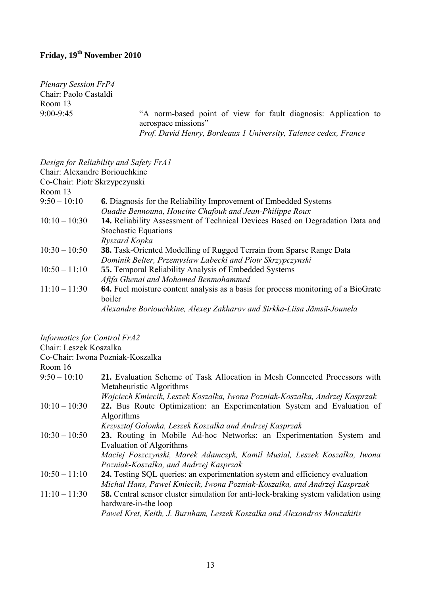## **Friday, 19th November 2010**

*Plenary Session FrP4*  Chair: Paolo Castaldi Room 13

9:00-9:45 "A norm-based point of view for fault diagnosis: Application to aerospace missions" *Prof. David Henry, Bordeaux 1 University, Talence cedex, France* 

### *Design for Reliability and Safety FrA1*

| Chair: Alexandre Boriouchkine |                                                                                    |
|-------------------------------|------------------------------------------------------------------------------------|
| Co-Chair: Piotr Skrzypczynski |                                                                                    |
| Room 13                       |                                                                                    |
| $9:50 - 10:10$                | <b>6.</b> Diagnosis for the Reliability Improvement of Embedded Systems            |
|                               | Ouadie Bennouna, Houcine Chafouk and Jean-Philippe Roux                            |
| $10:10 - 10:30$               | 14. Reliability Assessment of Technical Devices Based on Degradation Data and      |
|                               | <b>Stochastic Equations</b>                                                        |
|                               | Ryszard Kopka                                                                      |
| $10:30 - 10:50$               | <b>38.</b> Task-Oriented Modelling of Rugged Terrain from Sparse Range Data        |
|                               | Dominik Belter, Przemyslaw Labecki and Piotr Skrzypczynski                         |
| $10:50 - 11:10$               | <b>55.</b> Temporal Reliability Analysis of Embedded Systems                       |
|                               | Aftfa Ghenai and Mohamed Benmohammed                                               |
| $11:10 - 11:30$               | 64. Fuel moisture content analysis as a basis for process monitoring of a BioGrate |
|                               | boiler                                                                             |
|                               | Alexandre Boriouchkine, Alexey Zakharov and Sirkka-Liisa Jämsä-Jounela             |

*Informatics for Control FrA2* 

Chair: Leszek Koszalka

Co-Chair: Iwona Pozniak-Koszalka

Room 16

| 21. Evaluation Scheme of Task Allocation in Mesh Connected Processors with<br>$9:50 - 10:10$                  |  |
|---------------------------------------------------------------------------------------------------------------|--|
| Metaheuristic Algorithms                                                                                      |  |
| Wojciech Kmiecik, Leszek Koszalka, Iwona Pozniak-Koszalka, Andrzej Kasprzak                                   |  |
| $10:10 - 10:30$<br>22. Bus Route Optimization: an Experimentation System and Evaluation of                    |  |
| Algorithms                                                                                                    |  |
| Krzysztof Golonka, Leszek Koszalka and Andrzej Kasprzak                                                       |  |
| 23. Routing in Mobile Ad-hoc Networks: an Experimentation System and<br>$10:30 - 10:50$                       |  |
| Evaluation of Algorithms                                                                                      |  |
| Maciej Foszczynski, Marek Adamczyk, Kamil Musial, Leszek Koszalka, Iwona                                      |  |
| Pozniak-Koszalka, and Andrzej Kasprzak                                                                        |  |
| $10:50 - 11:10$<br>24. Testing SQL queries: an experimentation system and efficiency evaluation               |  |
| Michal Hans, Pawel Kmiecik, Iwona Pozniak-Koszalka, and Andrzej Kasprzak                                      |  |
| $11:10 - 11:30$<br><b>58.</b> Central sensor cluster simulation for anti-lock-braking system validation using |  |
| hardware-in-the loop                                                                                          |  |
| Pawel Kret, Keith, J. Burnham, Leszek Koszalka and Alexandros Mouzakitis                                      |  |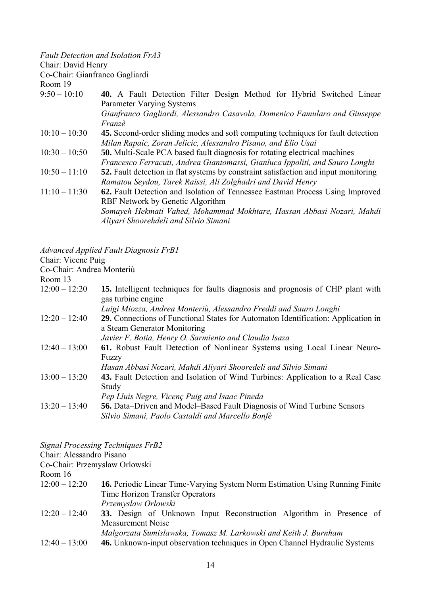| Chair: David Henry | <b>Fault Detection and Isolation FrA3</b>                                                                                                                           |
|--------------------|---------------------------------------------------------------------------------------------------------------------------------------------------------------------|
|                    | Co-Chair: Gianfranco Gagliardi                                                                                                                                      |
| Room 19            |                                                                                                                                                                     |
| $9:50 - 10:10$     | <b>40.</b> A Fault Detection Filter Design Method for Hybrid Switched Linear<br><b>Parameter Varying Systems</b>                                                    |
|                    | Gianfranco Gagliardi, Alessandro Casavola, Domenico Famularo and Giuseppe<br>Franzè                                                                                 |
| $10:10 - 10:30$    | <b>45.</b> Second-order sliding modes and soft computing techniques for fault detection                                                                             |
| $10:30 - 10:50$    | Milan Rapaic, Zoran Jelicic, Alessandro Pisano, and Elio Usai<br><b>50.</b> Multi-Scale PCA based fault diagnosis for rotating electrical machines                  |
|                    |                                                                                                                                                                     |
| $10:50 - 11:10$    | Francesco Ferracuti, Andrea Giantomassi, Gianluca Ippoliti, and Sauro Longhi<br>52. Fault detection in flat systems by constraint satisfaction and input monitoring |
|                    | Ramatou Seydou, Tarek Raissi, Ali Zolghadri and David Henry                                                                                                         |
| $11:10 - 11:30$    | 62. Fault Detection and Isolation of Tennessee Eastman Process Using Improved                                                                                       |
|                    | RBF Network by Genetic Algorithm                                                                                                                                    |
|                    | Somayeh Hekmati Vahed, Mohammad Mokhtare, Hassan Abbasi Nozari, Mahdi                                                                                               |
|                    | Aliyari Shoorehdeli and Silvio Simani                                                                                                                               |

*Advanced Applied Fault Diagnosis FrB1* 

Chair: Vicenc Puig

Co-Chair: Andrea Monteriù

Room 13

| $12:00 - 12:20$ | 15. Intelligent techniques for faults diagnosis and prognosis of CHP plant with   |
|-----------------|-----------------------------------------------------------------------------------|
|                 | gas turbine engine                                                                |
|                 | Luigi Miozza, Andrea Monteriù, Alessandro Freddi and Sauro Longhi                 |
| $12:20 - 12:40$ | 29. Connections of Functional States for Automaton Identification: Application in |
|                 | a Steam Generator Monitoring                                                      |

|                 | Javier F. Botia, Henry O. Sarmiento and Claudia Isaza                          |
|-----------------|--------------------------------------------------------------------------------|
| $12:40 - 13:00$ | 61. Robust Fault Detection of Nonlinear Systems using Local Linear Neuro-      |
|                 | Fuzzy                                                                          |
|                 | Hasan Abbasi Nozari, Mahdi Aliyari Shooredeli and Silvio Simani                |
| $13:00 - 13:20$ | 43. Fault Detection and Isolation of Wind Turbines: Application to a Real Case |
|                 | Study                                                                          |
|                 | Pep Lluis Negre, Vicenç Puig and Isaac Pineda                                  |
| $13:20 - 13:40$ | <b>56.</b> Data–Driven and Model–Based Fault Diagnosis of Wind Turbine Sensors |
|                 | Silvio Simani, Paolo Castaldi and Marcello Bonfè                               |

*Signal Processing Techniques FrB2* 

Chair: Alessandro Pisano

Co-Chair: Przemyslaw Orlowski

Room 16

| $12:00 - 12:20$ | <b>16.</b> Periodic Linear Time-Varying System Norm Estimation Using Running Finite |
|-----------------|-------------------------------------------------------------------------------------|
|                 | Time Horizon Transfer Operators                                                     |
|                 | Przemyslaw Orlowski                                                                 |

- 12:20 12:40 **33.** Design of Unknown Input Reconstruction Algorithm in Presence of Measurement Noise
	- *Malgorzata Sumislawska, Tomasz M. Larkowski and Keith J. Burnham*
- 12:40 13:00 **46.** Unknown-input observation techniques in Open Channel Hydraulic Systems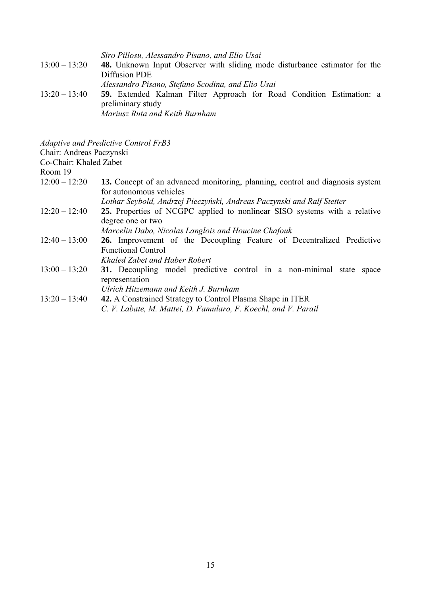*Siro Pillosu, Alessandro Pisano, and Elio Usai*  13:00 – 13:20 **48.** Unknown Input Observer with sliding mode disturbance estimator for the Diffusion PDE *Alessandro Pisano, Stefano Scodina, and Elio Usai*  13:20 – 13:40 **59.** Extended Kalman Filter Approach for Road Condition Estimation: a preliminary study *Mariusz Ruta and Keith Burnham* 

*Adaptive and Predictive Control FrB3* 

Chair: Andreas Paczynski

Co-Chair: Khaled Zabet

Room 19

- 12:00 12:20 **13.** Concept of an advanced monitoring, planning, control and diagnosis system for autonomous vehicles *Lothar Seybold, Andrzej Pieczyński, Andreas Paczynski and Ralf Stetter*
- 12:20 12:40 **25.** Properties of NCGPC applied to nonlinear SISO systems with a relative degree one or two

*Marcelin Dabo, Nicolas Langlois and Houcine Chafouk* 

- 12:40 13:00 **26.** Improvement of the Decoupling Feature of Decentralized Predictive Functional Control
	- *Khaled Zabet and Haber Robert*
- 13:00 13:20 **31.** Decoupling model predictive control in a non-minimal state space representation
	- *Ulrich Hitzemann and Keith J. Burnham*
- 13:20 13:40 **42.** A Constrained Strategy to Control Plasma Shape in ITER *C. V. Labate, M. Mattei, D. Famularo, F. Koechl, and V. Parail*